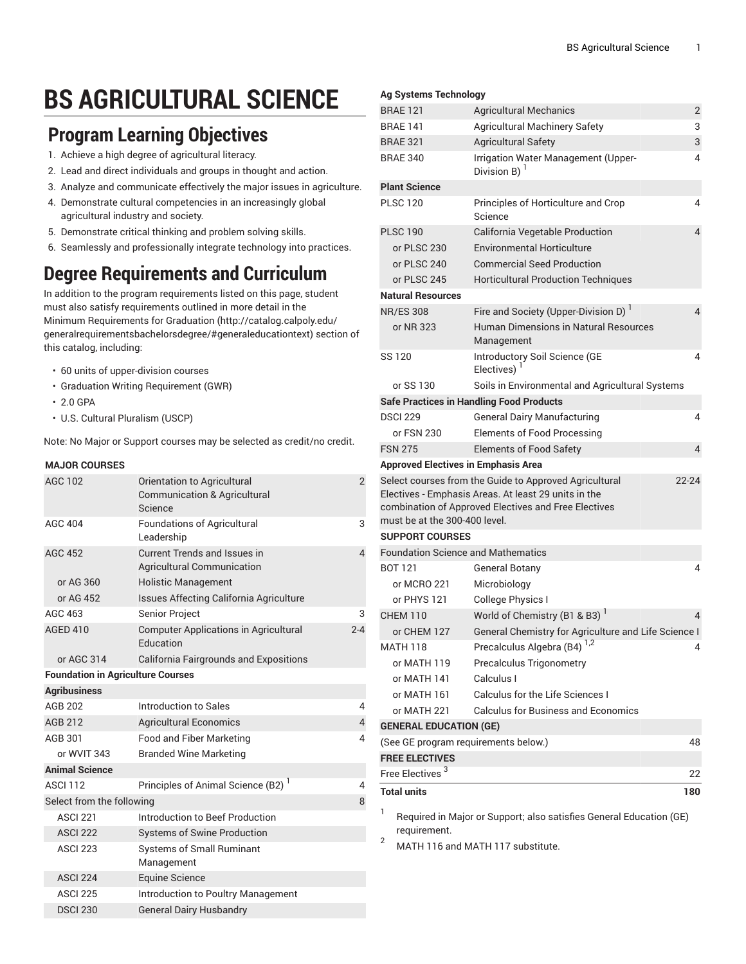# **BS AGRICULTURAL SCIENCE**

### **Program Learning Objectives**

- 1. Achieve a high degree of agricultural literacy.
- 2. Lead and direct individuals and groups in thought and action.
- 3. Analyze and communicate effectively the major issues in agriculture.
- 4. Demonstrate cultural competencies in an increasingly global agricultural industry and society.
- 5. Demonstrate critical thinking and problem solving skills.
- 6. Seamlessly and professionally integrate technology into practices.

## **Degree Requirements and Curriculum**

In addition to the program requirements listed on this page, student must also satisfy requirements outlined in more detail in the Minimum [Requirements](http://catalog.calpoly.edu/generalrequirementsbachelorsdegree/#generaleducationtext) for Graduation ([http://catalog.calpoly.edu/](http://catalog.calpoly.edu/generalrequirementsbachelorsdegree/#generaleducationtext) [generalrequirementsbachelorsdegree/#generaleducationtext\)](http://catalog.calpoly.edu/generalrequirementsbachelorsdegree/#generaleducationtext) section of this catalog, including:

- 60 units of upper-division courses
- Graduation Writing Requirement (GWR)
- 2.0 GPA
- U.S. Cultural Pluralism (USCP)

Note: No Major or Support courses may be selected as credit/no credit.

#### **MAJOR COURSES**

| <b>AGC 102</b>                           | Orientation to Agricultural<br><b>Communication &amp; Agricultural</b><br>Science | $\overline{2}$ |
|------------------------------------------|-----------------------------------------------------------------------------------|----------------|
| <b>AGC 404</b>                           | <b>Foundations of Agricultural</b><br>Leadership                                  | 3              |
| <b>AGC 452</b>                           | Current Trends and Issues in<br><b>Agricultural Communication</b>                 | 4              |
| or AG 360                                | <b>Holistic Management</b>                                                        |                |
| or AG 452                                | Issues Affecting California Agriculture                                           |                |
| AGC 463                                  | Senior Project                                                                    | 3              |
| <b>AGED 410</b>                          | <b>Computer Applications in Agricultural</b><br><b>Education</b>                  | $2 - 4$        |
| or AGC 314                               | <b>California Fairgrounds and Expositions</b>                                     |                |
| <b>Foundation in Agriculture Courses</b> |                                                                                   |                |
| <b>Agribusiness</b>                      |                                                                                   |                |
| AGB 202                                  | Introduction to Sales                                                             | 4              |
| <b>AGB 212</b>                           | <b>Agricultural Economics</b>                                                     | 4              |
| AGB 301                                  | Food and Fiber Marketing                                                          | 4              |
| or WVIT 343                              | <b>Branded Wine Marketing</b>                                                     |                |
| <b>Animal Science</b>                    |                                                                                   |                |
| <b>ASCI 112</b>                          | Principles of Animal Science (B2) <sup>1</sup>                                    | 4              |
| Select from the following                |                                                                                   | 8              |
| <b>ASCI 221</b>                          | Introduction to Beef Production                                                   |                |
| <b>ASCI 222</b>                          | <b>Systems of Swine Production</b>                                                |                |
| <b>ASCI 223</b>                          | <b>Systems of Small Ruminant</b><br>Management                                    |                |
| <b>ASCI 224</b>                          | <b>Equine Science</b>                                                             |                |
| <b>ASCI 225</b>                          | Introduction to Poultry Management                                                |                |
| <b>DSCI 230</b>                          | <b>General Dairy Husbandry</b>                                                    |                |
|                                          |                                                                                   |                |

#### **Ag Systems Technology**

| <b>BRAE 121</b>                            | <b>Agricultural Mechanics</b>                                                                                                                                          | $\overline{2}$          |
|--------------------------------------------|------------------------------------------------------------------------------------------------------------------------------------------------------------------------|-------------------------|
| <b>BRAE 141</b>                            | <b>Agricultural Machinery Safety</b>                                                                                                                                   | 3                       |
| <b>BRAE 321</b>                            | <b>Agricultural Safety</b>                                                                                                                                             | 3                       |
| <b>BRAE 340</b>                            | Irrigation Water Management (Upper-<br>Division B) $1$                                                                                                                 | 4                       |
| <b>Plant Science</b>                       |                                                                                                                                                                        |                         |
| <b>PLSC 120</b>                            | Principles of Horticulture and Crop<br>Science                                                                                                                         | 4                       |
| <b>PLSC 190</b>                            | California Vegetable Production                                                                                                                                        | 4                       |
| or PLSC 230                                | <b>Environmental Horticulture</b>                                                                                                                                      |                         |
| or PLSC 240                                | <b>Commercial Seed Production</b>                                                                                                                                      |                         |
| or PLSC 245                                | <b>Horticultural Production Techniques</b>                                                                                                                             |                         |
| <b>Natural Resources</b>                   |                                                                                                                                                                        |                         |
| <b>NR/ES 308</b>                           | Fire and Society (Upper-Division D)                                                                                                                                    | $\overline{\mathbf{4}}$ |
| or NR 323                                  | Human Dimensions in Natural Resources<br>Management                                                                                                                    |                         |
| SS 120                                     | Introductory Soil Science (GE<br>Electives)                                                                                                                            | 4                       |
| or SS 130                                  | Soils in Environmental and Agricultural Systems                                                                                                                        |                         |
|                                            | <b>Safe Practices in Handling Food Products</b>                                                                                                                        |                         |
| <b>DSCI 229</b>                            | <b>General Dairy Manufacturing</b>                                                                                                                                     | 4                       |
| or FSN 230                                 | <b>Elements of Food Processing</b>                                                                                                                                     |                         |
|                                            |                                                                                                                                                                        |                         |
| <b>FSN 275</b>                             | <b>Elements of Food Safety</b>                                                                                                                                         | 4                       |
| <b>Approved Electives in Emphasis Area</b> |                                                                                                                                                                        |                         |
| must be at the 300-400 level.              | Select courses from the Guide to Approved Agricultural<br>Electives - Emphasis Areas. At least 29 units in the<br>combination of Approved Electives and Free Electives | $22 - 24$               |
| <b>SUPPORT COURSES</b>                     |                                                                                                                                                                        |                         |
| <b>Foundation Science and Mathematics</b>  |                                                                                                                                                                        |                         |
| <b>BOT 121</b>                             | <b>General Botany</b>                                                                                                                                                  | 4                       |
| or MCRO 221                                | Microbiology                                                                                                                                                           |                         |
| or PHYS 121                                | College Physics I                                                                                                                                                      |                         |
| <b>CHEM 110</b>                            | World of Chemistry (B1 & B3)                                                                                                                                           | 4                       |
| or CHEM 127                                | General Chemistry for Agriculture and Life Science I                                                                                                                   |                         |
| <b>MATH 118</b>                            |                                                                                                                                                                        |                         |
| or MATH 119                                | Precalculus Algebra (B4) <sup>1,2</sup><br>Precalculus Trigonometry                                                                                                    |                         |
| or MATH 141                                | Calculus I                                                                                                                                                             |                         |
| or MATH 161                                | <b>Calculus for the Life Sciences I</b>                                                                                                                                |                         |
| or MATH 221                                | <b>Calculus for Business and Economics</b>                                                                                                                             |                         |
| <b>GENERAL EDUCATION (GE)</b>              |                                                                                                                                                                        |                         |
| (See GE program requirements below.)       |                                                                                                                                                                        | 48                      |
| <b>FREE ELECTIVES</b>                      |                                                                                                                                                                        |                         |
| Free Electives <sup>3</sup>                |                                                                                                                                                                        | 22                      |
| <b>Total units</b>                         |                                                                                                                                                                        | 180                     |

Required in Major or Support; also satisfies General Education (GE) requirement.

<sup>2</sup> MATH 116 and MATH 117 substitute.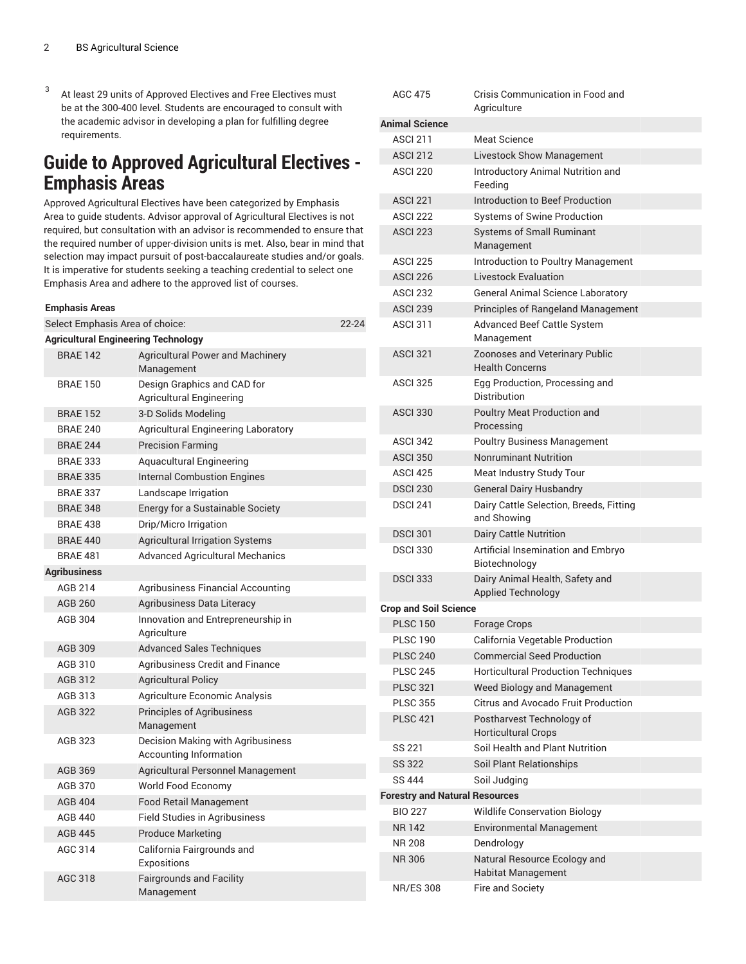3 At least 29 units of Approved Electives and Free Electives must be at the 300-400 level. Students are encouraged to consult with the academic advisor in developing a plan for fulfilling degree requirements.

### **Guide to Approved Agricultural Electives - Emphasis Areas**

Approved Agricultural Electives have been categorized by Emphasis Area to guide students. Advisor approval of Agricultural Electives is not required, but consultation with an advisor is recommended to ensure that the required number of upper-division units is met. Also, bear in mind that selection may impact pursuit of post-baccalaureate studies and/or goals. It is imperative for students seeking a teaching credential to select one Emphasis Area and adhere to the approved list of courses.

| <b>Emphasis Areas</b>                      |                                                                    |           |
|--------------------------------------------|--------------------------------------------------------------------|-----------|
| Select Emphasis Area of choice:            |                                                                    | $22 - 24$ |
| <b>Agricultural Engineering Technology</b> |                                                                    |           |
| <b>BRAE 142</b>                            | <b>Agricultural Power and Machinery</b><br>Management              |           |
| <b>BRAE 150</b>                            | Design Graphics and CAD for<br>Agricultural Engineering            |           |
| <b>BRAE 152</b>                            | 3-D Solids Modeling                                                |           |
| <b>BRAE 240</b>                            | <b>Agricultural Engineering Laboratory</b>                         |           |
| <b>BRAE 244</b>                            | <b>Precision Farming</b>                                           |           |
| <b>BRAE 333</b>                            | <b>Aquacultural Engineering</b>                                    |           |
| <b>BRAE 335</b>                            | <b>Internal Combustion Engines</b>                                 |           |
| <b>BRAE 337</b>                            | Landscape Irrigation                                               |           |
| <b>BRAE 348</b>                            | Energy for a Sustainable Society                                   |           |
| <b>BRAE 438</b>                            | Drip/Micro Irrigation                                              |           |
| <b>BRAE 440</b>                            | <b>Agricultural Irrigation Systems</b>                             |           |
| <b>BRAE 481</b>                            | <b>Advanced Agricultural Mechanics</b>                             |           |
| <b>Agribusiness</b>                        |                                                                    |           |
| <b>AGB 214</b>                             | Agribusiness Financial Accounting                                  |           |
| AGB 260                                    | Agribusiness Data Literacy                                         |           |
| <b>AGB 304</b>                             | Innovation and Entrepreneurship in<br>Agriculture                  |           |
| AGB 309                                    | <b>Advanced Sales Techniques</b>                                   |           |
| AGB 310                                    | <b>Agribusiness Credit and Finance</b>                             |           |
| AGB 312                                    | <b>Agricultural Policy</b>                                         |           |
| AGB 313                                    | Agriculture Economic Analysis                                      |           |
| AGB 322                                    | <b>Principles of Agribusiness</b><br>Management                    |           |
| AGB 323                                    | Decision Making with Agribusiness<br><b>Accounting Information</b> |           |
| AGB 369                                    | <b>Agricultural Personnel Management</b>                           |           |
| <b>AGB 370</b>                             | World Food Economy                                                 |           |
| <b>AGB 404</b>                             | <b>Food Retail Management</b>                                      |           |
| AGB 440                                    | <b>Field Studies in Agribusiness</b>                               |           |
| <b>AGB 445</b>                             | <b>Produce Marketing</b>                                           |           |
| AGC 314                                    | California Fairgrounds and<br>Expositions                          |           |
| AGC 318                                    | <b>Fairgrounds and Facility</b><br>Management                      |           |

| AGC 475                               | Crisis Communication in Food and<br>Aariculture                 |
|---------------------------------------|-----------------------------------------------------------------|
| <b>Animal Science</b>                 |                                                                 |
| <b>ASCI 211</b>                       | <b>Meat Science</b>                                             |
| <b>ASCI 212</b>                       | <b>Livestock Show Management</b>                                |
| <b>ASCI 220</b>                       | Introductory Animal Nutrition and<br>Feeding                    |
| <b>ASCI 221</b>                       | Introduction to Beef Production                                 |
| <b>ASCI 222</b>                       | <b>Systems of Swine Production</b>                              |
| <b>ASCI 223</b>                       | <b>Systems of Small Ruminant</b><br>Management                  |
| ASCI 225                              | Introduction to Poultry Management                              |
| <b>ASCI 226</b>                       | <b>Livestock Evaluation</b>                                     |
| <b>ASCI 232</b>                       | <b>General Animal Science Laboratory</b>                        |
| <b>ASCI 239</b>                       | Principles of Rangeland Management                              |
| <b>ASCL311</b>                        | <b>Advanced Beef Cattle System</b><br>Management                |
| <b>ASCI 321</b>                       | <b>Zoonoses and Veterinary Public</b><br><b>Health Concerns</b> |
| <b>ASCI 325</b>                       | Egg Production, Processing and<br>Distribution                  |
| <b>ASCI 330</b>                       | <b>Poultry Meat Production and</b><br>Processing                |
| <b>ASCI 342</b>                       | <b>Poultry Business Management</b>                              |
| <b>ASCI 350</b>                       | <b>Nonruminant Nutrition</b>                                    |
| ASCI <sub>425</sub>                   | Meat Industry Study Tour                                        |
| <b>DSCI 230</b>                       | <b>General Dairy Husbandry</b>                                  |
| <b>DSCI 241</b>                       | Dairy Cattle Selection, Breeds, Fitting<br>and Showing          |
| <b>DSCI 301</b>                       | Dairy Cattle Nutrition                                          |
| <b>DSCI 330</b>                       | Artificial Insemination and Embryo<br>Biotechnology             |
| <b>DSCI 333</b>                       | Dairy Animal Health, Safety and<br><b>Applied Technology</b>    |
| <b>Crop and Soil Science</b>          |                                                                 |
| <b>PLSC 150</b>                       | <b>Forage Crops</b>                                             |
| <b>PLSC 190</b>                       | California Vegetable Production                                 |
| <b>PLSC 240</b>                       | <b>Commercial Seed Production</b>                               |
| <b>PLSC 245</b>                       | <b>Horticultural Production Techniques</b>                      |
| <b>PLSC 321</b>                       | Weed Biology and Management                                     |
| <b>PLSC 355</b>                       | <b>Citrus and Avocado Fruit Production</b>                      |
| <b>PLSC 421</b>                       | Postharvest Technology of<br><b>Horticultural Crops</b>         |
| SS 221                                | Soil Health and Plant Nutrition                                 |
| <b>SS 322</b>                         | Soil Plant Relationships                                        |
| <b>SS 444</b>                         | Soil Judging                                                    |
| <b>Forestry and Natural Resources</b> |                                                                 |
| <b>BIO 227</b>                        | <b>Wildlife Conservation Biology</b>                            |
| <b>NR142</b>                          | <b>Environmental Management</b>                                 |
| NR 208                                | Dendrology                                                      |
| <b>NR306</b>                          | Natural Resource Ecology and<br><b>Habitat Management</b>       |
| NR/ES 308                             | Fire and Society                                                |